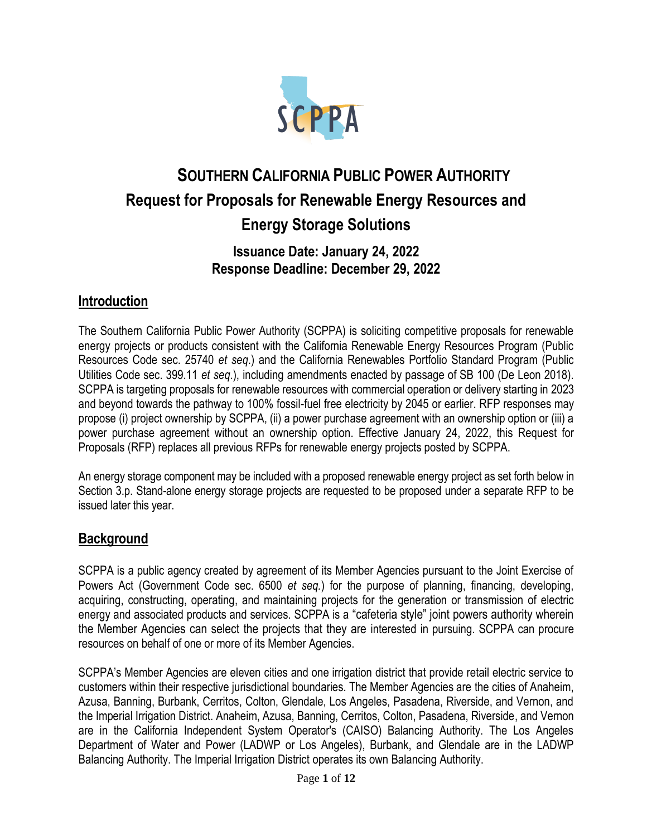

# **SOUTHERN CALIFORNIA PUBLIC POWER AUTHORITY Request for Proposals for Renewable Energy Resources and Energy Storage Solutions**

# **Issuance Date: January 24, 2022 Response Deadline: December 29, 2022**

# **Introduction**

The Southern California Public Power Authority (SCPPA) is soliciting competitive proposals for renewable energy projects or products consistent with the California Renewable Energy Resources Program (Public Resources Code sec. 25740 *et seq*.) and the California Renewables Portfolio Standard Program (Public Utilities Code sec. 399.11 *et seq*.), including amendments enacted by passage of SB 100 (De Leon 2018). SCPPA is targeting proposals for renewable resources with commercial operation or delivery starting in 2023 and beyond towards the pathway to 100% fossil-fuel free electricity by 2045 or earlier. RFP responses may propose (i) project ownership by SCPPA, (ii) a power purchase agreement with an ownership option or (iii) a power purchase agreement without an ownership option. Effective January 24, 2022, this Request for Proposals (RFP) replaces all previous RFPs for renewable energy projects posted by SCPPA.

An energy storage component may be included with a proposed renewable energy project as set forth below in Section 3.p. Stand-alone energy storage projects are requested to be proposed under a separate RFP to be issued later this year.

# **Background**

SCPPA is a public agency created by agreement of its Member Agencies pursuant to the Joint Exercise of Powers Act (Government Code sec. 6500 *et seq.*) for the purpose of planning, financing, developing, acquiring, constructing, operating, and maintaining projects for the generation or transmission of electric energy and associated products and services. SCPPA is a "cafeteria style" joint powers authority wherein the Member Agencies can select the projects that they are interested in pursuing. SCPPA can procure resources on behalf of one or more of its Member Agencies.

SCPPA's Member Agencies are eleven cities and one irrigation district that provide retail electric service to customers within their respective jurisdictional boundaries. The Member Agencies are the cities of Anaheim, Azusa, Banning, Burbank, Cerritos, Colton, Glendale, Los Angeles, Pasadena, Riverside, and Vernon, and the Imperial Irrigation District. Anaheim, Azusa, Banning, Cerritos, Colton, Pasadena, Riverside, and Vernon are in the California Independent System Operator's (CAISO) Balancing Authority. The Los Angeles Department of Water and Power (LADWP or Los Angeles), Burbank, and Glendale are in the LADWP Balancing Authority. The Imperial Irrigation District operates its own Balancing Authority.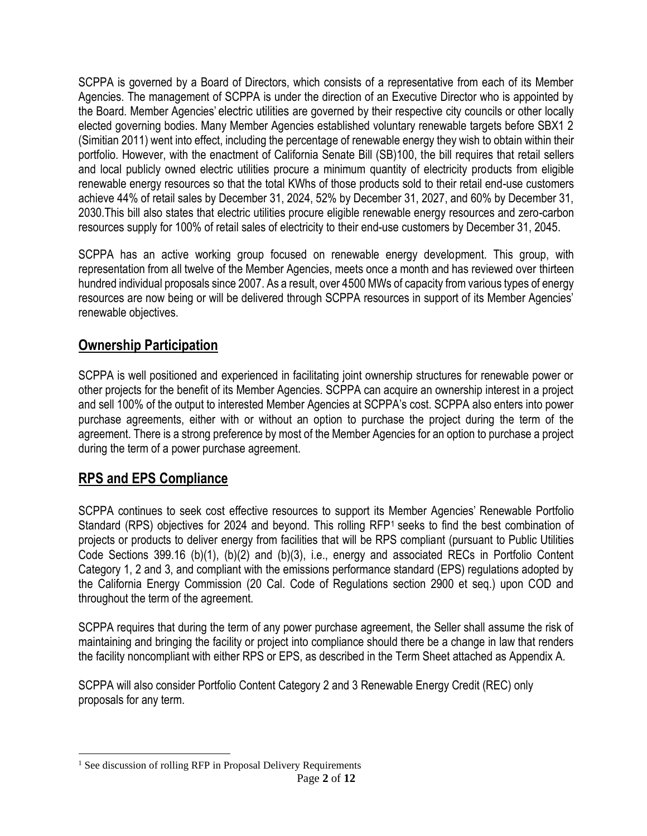SCPPA is governed by a Board of Directors, which consists of a representative from each of its Member Agencies. The management of SCPPA is under the direction of an Executive Director who is appointed by the Board. Member Agencies' electric utilities are governed by their respective city councils or other locally elected governing bodies. Many Member Agencies established voluntary renewable targets before SBX1 2 (Simitian 2011) went into effect, including the percentage of renewable energy they wish to obtain within their portfolio. However, with the enactment of California Senate Bill (SB)100, the bill requires that retail sellers and local publicly owned electric utilities procure a minimum quantity of electricity products from eligible renewable energy resources so that the total KWhs of those products sold to their retail end-use customers achieve 44% of retail sales by December 31, 2024, 52% by December 31, 2027, and 60% by December 31, 2030.This bill also states that electric utilities procure eligible renewable energy resources and zero-carbon resources supply for 100% of retail sales of electricity to their end-use customers by December 31, 2045.

SCPPA has an active working group focused on renewable energy development. This group, with representation from all twelve of the Member Agencies, meets once a month and has reviewed over thirteen hundred individual proposals since 2007. As a result, over 4500 MWs of capacity from various types of energy resources are now being or will be delivered through SCPPA resources in support of its Member Agencies' renewable objectives.

# **Ownership Participation**

SCPPA is well positioned and experienced in facilitating joint ownership structures for renewable power or other projects for the benefit of its Member Agencies. SCPPA can acquire an ownership interest in a project and sell 100% of the output to interested Member Agencies at SCPPA's cost. SCPPA also enters into power purchase agreements, either with or without an option to purchase the project during the term of the agreement. There is a strong preference by most of the Member Agencies for an option to purchase a project during the term of a power purchase agreement.

# **RPS and EPS Compliance**

SCPPA continues to seek cost effective resources to support its Member Agencies' Renewable Portfolio Standard (RPS) objectives for 2024 and beyond. This rolling RFP<sup>1</sup> seeks to find the best combination of projects or products to deliver energy from facilities that will be RPS compliant (pursuant to Public Utilities Code Sections 399.16 (b)(1), (b)(2) and (b)(3), i.e., energy and associated RECs in Portfolio Content Category 1, 2 and 3, and compliant with the emissions performance standard (EPS) regulations adopted by the California Energy Commission (20 Cal. Code of Regulations section 2900 et seq.) upon COD and throughout the term of the agreement.

SCPPA requires that during the term of any power purchase agreement, the Seller shall assume the risk of maintaining and bringing the facility or project into compliance should there be a change in law that renders the facility noncompliant with either RPS or EPS, as described in the Term Sheet attached as Appendix A.

SCPPA will also consider Portfolio Content Category 2 and 3 Renewable Energy Credit (REC) only proposals for any term.

<sup>&</sup>lt;sup>1</sup> See discussion of rolling RFP in Proposal Delivery Requirements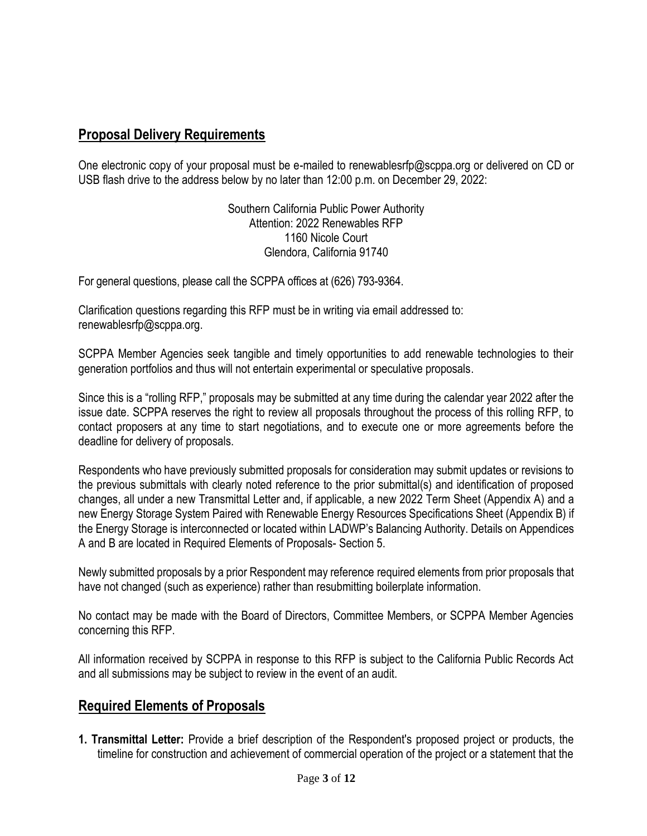# **Proposal Delivery Requirements**

One electronic copy of your proposal must be e-mailed to renewablesrfp@scppa.org or delivered on CD or USB flash drive to the address below by no later than 12:00 p.m. on December 29, 2022:

> Southern California Public Power Authority Attention: 2022 Renewables RFP 1160 Nicole Court Glendora, California 91740

For general questions, please call the SCPPA offices at (626) 793-9364.

Clarification questions regarding this RFP must be in writing via email addressed to: renewablesrfp@scppa.org.

SCPPA Member Agencies seek tangible and timely opportunities to add renewable technologies to their generation portfolios and thus will not entertain experimental or speculative proposals.

Since this is a "rolling RFP," proposals may be submitted at any time during the calendar year 2022 after the issue date. SCPPA reserves the right to review all proposals throughout the process of this rolling RFP, to contact proposers at any time to start negotiations, and to execute one or more agreements before the deadline for delivery of proposals.

Respondents who have previously submitted proposals for consideration may submit updates or revisions to the previous submittals with clearly noted reference to the prior submittal(s) and identification of proposed changes, all under a new Transmittal Letter and, if applicable, a new 2022 Term Sheet (Appendix A) and a new Energy Storage System Paired with Renewable Energy Resources Specifications Sheet (Appendix B) if the Energy Storage is interconnected or located within LADWP's Balancing Authority. Details on Appendices A and B are located in Required Elements of Proposals- Section 5.

Newly submitted proposals by a prior Respondent may reference required elements from prior proposals that have not changed (such as experience) rather than resubmitting boilerplate information.

No contact may be made with the Board of Directors, Committee Members, or SCPPA Member Agencies concerning this RFP.

All information received by SCPPA in response to this RFP is subject to the California Public Records Act and all submissions may be subject to review in the event of an audit.

#### **Required Elements of Proposals**

**1. Transmittal Letter:** Provide a brief description of the Respondent's proposed project or products, the timeline for construction and achievement of commercial operation of the project or a statement that the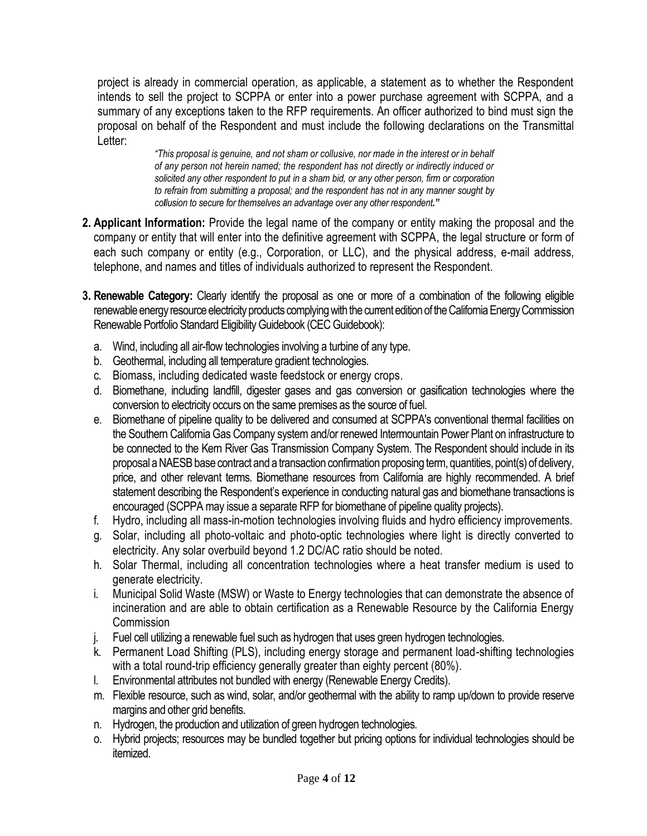project is already in commercial operation, as applicable, a statement as to whether the Respondent intends to sell the project to SCPPA or enter into a power purchase agreement with SCPPA, and a summary of any exceptions taken to the RFP requirements. An officer authorized to bind must sign the proposal on behalf of the Respondent and must include the following declarations on the Transmittal Letter:

*"This proposal is genuine, and not sham or collusive, nor made in the interest or in behalf of any person not herein named; the respondent has not directly or indirectly induced or solicited any other respondent to put in a sham bid, or any other person, firm or corporation to refrain from submitting a proposal; and the respondent has not in any manner sought by collusion to secure for themselves an advantage over any other respondent."*

- **2. Applicant Information:** Provide the legal name of the company or entity making the proposal and the company or entity that will enter into the definitive agreement with SCPPA, the legal structure or form of each such company or entity (e.g., Corporation, or LLC), and the physical address, e-mail address, telephone, and names and titles of individuals authorized to represent the Respondent.
- **3. Renewable Category:** Clearly identify the proposal as one or more of a combination of the following eligible renewable energy resource electricity products complying with the current edition of the California Energy Commission Renewable Portfolio Standard Eligibility Guidebook (CEC Guidebook):
	- a. Wind, including all air-flow technologies involving a turbine of any type.
	- b. Geothermal, including all temperature gradient technologies.
	- c. Biomass, including dedicated waste feedstock or energy crops.
	- d. Biomethane, including landfill, digester gases and gas conversion or gasification technologies where the conversion to electricity occurs on the same premises as the source of fuel.
	- e. Biomethane of pipeline quality to be delivered and consumed at SCPPA's conventional thermal facilities on the Southern California Gas Company system and/or renewed Intermountain Power Plant on infrastructure to be connected to the Kern River Gas Transmission Company System. The Respondent should include in its proposal a NAESB base contract and a transaction confirmation proposing term, quantities, point(s) of delivery, price, and other relevant terms. Biomethane resources from California are highly recommended. A brief statement describing the Respondent's experience in conducting natural gas and biomethane transactions is encouraged (SCPPA may issue a separate RFP for biomethane of pipeline quality projects).
	- f. Hydro, including all mass-in-motion technologies involving fluids and hydro efficiency improvements.
	- g. Solar, including all photo-voltaic and photo-optic technologies where light is directly converted to electricity. Any solar overbuild beyond 1.2 DC/AC ratio should be noted.
	- h. Solar Thermal, including all concentration technologies where a heat transfer medium is used to generate electricity.
	- i. Municipal Solid Waste (MSW) or Waste to Energy technologies that can demonstrate the absence of incineration and are able to obtain certification as a Renewable Resource by the California Energy **Commission**
	- j. Fuel cell utilizing a renewable fuel such as hydrogen that uses green hydrogen technologies.
	- k. Permanent Load Shifting (PLS), including energy storage and permanent load-shifting technologies with a total round-trip efficiency generally greater than eighty percent (80%).
	- l. Environmental attributes not bundled with energy (Renewable Energy Credits).
	- m. Flexible resource, such as wind, solar, and/or geothermal with the ability to ramp up/down to provide reserve margins and other grid benefits.
	- n. Hydrogen, the production and utilization of green hydrogen technologies.
	- o. Hybrid projects; resources may be bundled together but pricing options for individual technologies should be itemized.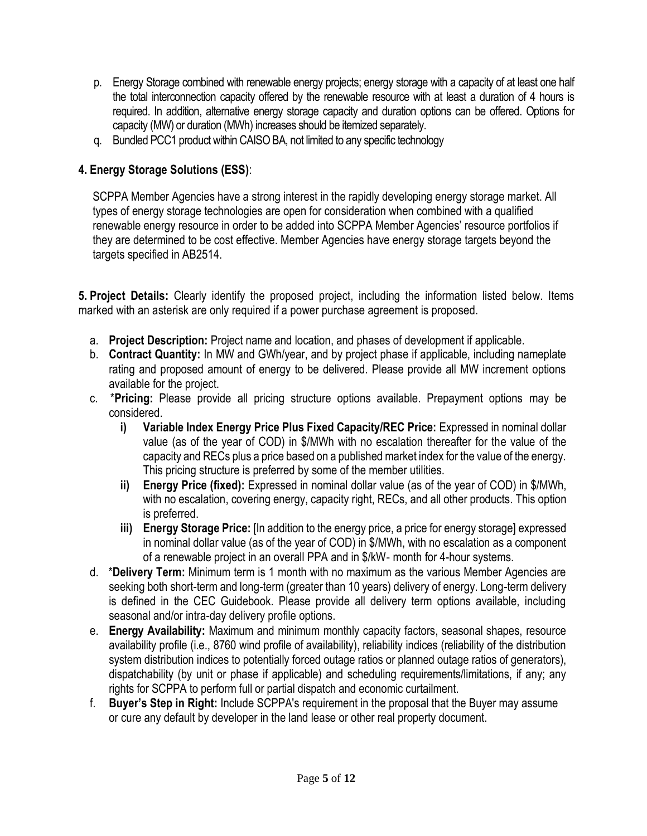- p. Energy Storage combined with renewable energy projects; energy storage with a capacity of at least one half the total interconnection capacity offered by the renewable resource with at least a duration of 4 hours is required. In addition, alternative energy storage capacity and duration options can be offered. Options for capacity (MW) or duration (MWh) increases should be itemized separately.
- q. Bundled PCC1 product within CAISO BA, not limited to any specific technology

#### **4. Energy Storage Solutions (ESS)**:

SCPPA Member Agencies have a strong interest in the rapidly developing energy storage market. All types of energy storage technologies are open for consideration when combined with a qualified renewable energy resource in order to be added into SCPPA Member Agencies' resource portfolios if they are determined to be cost effective. Member Agencies have energy storage targets beyond the targets specified in AB2514.

**5. Project Details:** Clearly identify the proposed project, including the information listed below. Items marked with an asterisk are only required if a power purchase agreement is proposed.

- a. **Project Description:** Project name and location, and phases of development if applicable.
- b. **Contract Quantity:** In MW and GWh/year, and by project phase if applicable, including nameplate rating and proposed amount of energy to be delivered. Please provide all MW increment options available for the project.
- c. \***Pricing:** Please provide all pricing structure options available. Prepayment options may be considered.
	- **i) Variable Index Energy Price Plus Fixed Capacity/REC Price:** Expressed in nominal dollar value (as of the year of COD) in \$/MWh with no escalation thereafter for the value of the capacity and RECs plus a price based on a published market index for the value of the energy. This pricing structure is preferred by some of the member utilities.
	- **ii) Energy Price (fixed):** Expressed in nominal dollar value (as of the year of COD) in \$/MWh, with no escalation, covering energy, capacity right, RECs, and all other products. This option is preferred.
	- **iii) Energy Storage Price:** [In addition to the energy price, a price for energy storage] expressed in nominal dollar value (as of the year of COD) in \$/MWh, with no escalation as a component of a renewable project in an overall PPA and in \$/kW‐ month for 4-hour systems.
- d. \***Delivery Term:** Minimum term is 1 month with no maximum as the various Member Agencies are seeking both short-term and long-term (greater than 10 years) delivery of energy. Long-term delivery is defined in the CEC Guidebook. Please provide all delivery term options available, including seasonal and/or intra-day delivery profile options.
- e. **Energy Availability:** Maximum and minimum monthly capacity factors, seasonal shapes, resource availability profile (i.e., 8760 wind profile of availability), reliability indices (reliability of the distribution system distribution indices to potentially forced outage ratios or planned outage ratios of generators), dispatchability (by unit or phase if applicable) and scheduling requirements/limitations, if any; any rights for SCPPA to perform full or partial dispatch and economic curtailment.
- f. **Buyer's Step in Right:** Include SCPPA's requirement in the proposal that the Buyer may assume or cure any default by developer in the land lease or other real property document.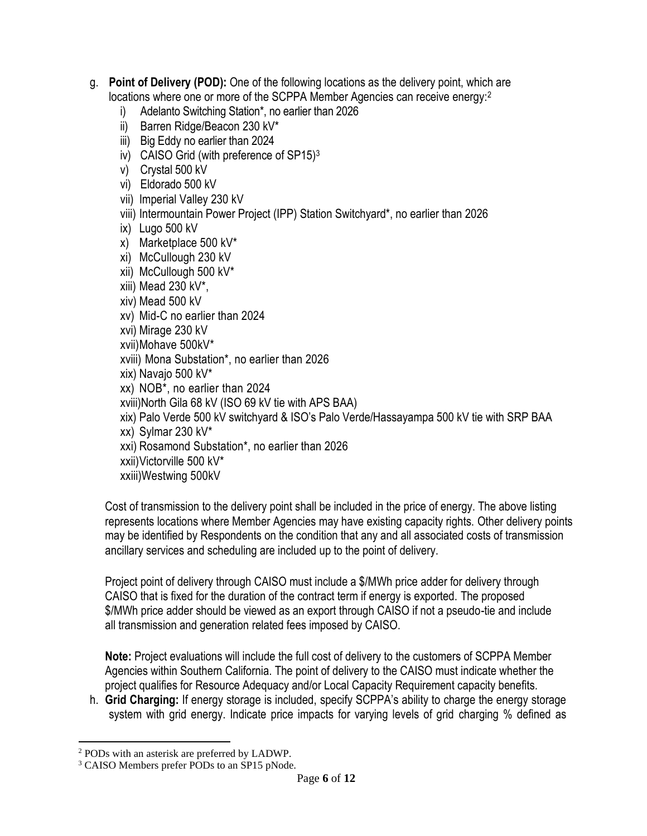- g. **Point of Delivery (POD):** One of the following locations as the delivery point, which are locations where one or more of the SCPPA Member Agencies can receive energy:<sup>2</sup>
	- i) Adelanto Switching Station\*, no earlier than 2026
	- ii) Barren Ridge/Beacon 230 kV\*
	- iii) Big Eddy no earlier than 2024
	- iv) CAISO Grid (with preference of SP15)<sup>3</sup>
	- v) Crystal 500 kV
	- vi) Eldorado 500 kV
	- vii) Imperial Valley 230 kV
	- viii) Intermountain Power Project (IPP) Station Switchyard\*, no earlier than 2026
	- ix) Lugo 500 kV
	- x) Marketplace 500 kV\*
	- xi) McCullough 230 kV
	- xii) McCullough 500 kV\*
	- xiii) Mead 230 kV\*,
	- xiv) Mead 500 kV
	- xv) Mid-C no earlier than 2024
	- xvi) Mirage 230 kV
	- xvii)Mohave 500kV\*
	- xviii) Mona Substation\*, no earlier than 2026
	- xix) Navajo 500 kV\*
	- xx) NOB\*, no earlier than 2024
	- xviii)North Gila 68 kV (ISO 69 kV tie with APS BAA)
	- xix) Palo Verde 500 kV switchyard & ISO's Palo Verde/Hassayampa 500 kV tie with SRP BAA
	- xx) Sylmar 230 kV\*
	- xxi) Rosamond Substation\*, no earlier than 2026
	- xxii)Victorville 500 kV\*
	- xxiii)Westwing 500kV

Cost of transmission to the delivery point shall be included in the price of energy. The above listing represents locations where Member Agencies may have existing capacity rights. Other delivery points may be identified by Respondents on the condition that any and all associated costs of transmission ancillary services and scheduling are included up to the point of delivery.

Project point of delivery through CAISO must include a \$/MWh price adder for delivery through CAISO that is fixed for the duration of the contract term if energy is exported. The proposed \$/MWh price adder should be viewed as an export through CAISO if not a pseudo-tie and include all transmission and generation related fees imposed by CAISO.

**Note:** Project evaluations will include the full cost of delivery to the customers of SCPPA Member Agencies within Southern California. The point of delivery to the CAISO must indicate whether the project qualifies for Resource Adequacy and/or Local Capacity Requirement capacity benefits.

h. **Grid Charging:** If energy storage is included, specify SCPPA's ability to charge the energy storage system with grid energy. Indicate price impacts for varying levels of grid charging % defined as

<sup>2</sup> PODs with an asterisk are preferred by LADWP.

<sup>3</sup> CAISO Members prefer PODs to an SP15 pNode.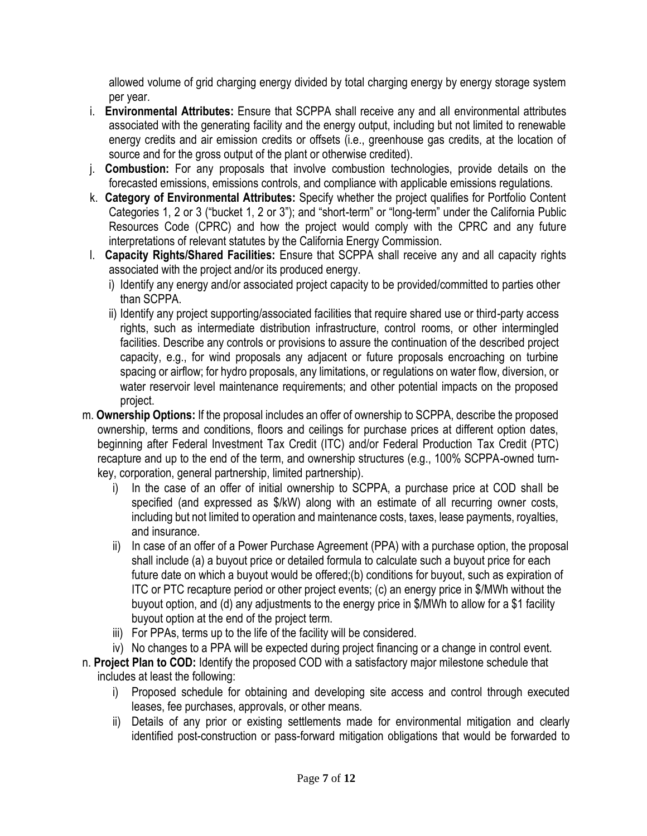allowed volume of grid charging energy divided by total charging energy by energy storage system per year.

- i. **Environmental Attributes:** Ensure that SCPPA shall receive any and all environmental attributes associated with the generating facility and the energy output, including but not limited to renewable energy credits and air emission credits or offsets (i.e., greenhouse gas credits, at the location of source and for the gross output of the plant or otherwise credited).
- j. **Combustion:** For any proposals that involve combustion technologies, provide details on the forecasted emissions, emissions controls, and compliance with applicable emissions regulations.
- k. **Category of Environmental Attributes:** Specify whether the project qualifies for Portfolio Content Categories 1, 2 or 3 ("bucket 1, 2 or 3"); and "short-term" or "long-term" under the California Public Resources Code (CPRC) and how the project would comply with the CPRC and any future interpretations of relevant statutes by the California Energy Commission.
- l. **Capacity Rights/Shared Facilities:** Ensure that SCPPA shall receive any and all capacity rights associated with the project and/or its produced energy.
	- i) Identify any energy and/or associated project capacity to be provided/committed to parties other than SCPPA.
	- ii) Identify any project supporting/associated facilities that require shared use or third-party access rights, such as intermediate distribution infrastructure, control rooms, or other intermingled facilities. Describe any controls or provisions to assure the continuation of the described project capacity, e.g., for wind proposals any adjacent or future proposals encroaching on turbine spacing or airflow; for hydro proposals, any limitations, or regulations on water flow, diversion, or water reservoir level maintenance requirements; and other potential impacts on the proposed project.
- m. **Ownership Options:** If the proposal includes an offer of ownership to SCPPA, describe the proposed ownership, terms and conditions, floors and ceilings for purchase prices at different option dates, beginning after Federal Investment Tax Credit (ITC) and/or Federal Production Tax Credit (PTC) recapture and up to the end of the term, and ownership structures (e.g., 100% SCPPA-owned turnkey, corporation, general partnership, limited partnership).
	- i) In the case of an offer of initial ownership to SCPPA, a purchase price at COD shall be specified (and expressed as \$/kW) along with an estimate of all recurring owner costs, including but not limited to operation and maintenance costs, taxes, lease payments, royalties, and insurance.
	- ii) In case of an offer of a Power Purchase Agreement (PPA) with a purchase option, the proposal shall include (a) a buyout price or detailed formula to calculate such a buyout price for each future date on which a buyout would be offered;(b) conditions for buyout, such as expiration of ITC or PTC recapture period or other project events; (c) an energy price in \$/MWh without the buyout option, and (d) any adjustments to the energy price in \$/MWh to allow for a \$1 facility buyout option at the end of the project term.
	- iii) For PPAs, terms up to the life of the facility will be considered.
	- iv) No changes to a PPA will be expected during project financing or a change in control event.
- n. **Project Plan to COD:** Identify the proposed COD with a satisfactory major milestone schedule that includes at least the following:
	- i) Proposed schedule for obtaining and developing site access and control through executed leases, fee purchases, approvals, or other means.
	- ii) Details of any prior or existing settlements made for environmental mitigation and clearly identified post-construction or pass-forward mitigation obligations that would be forwarded to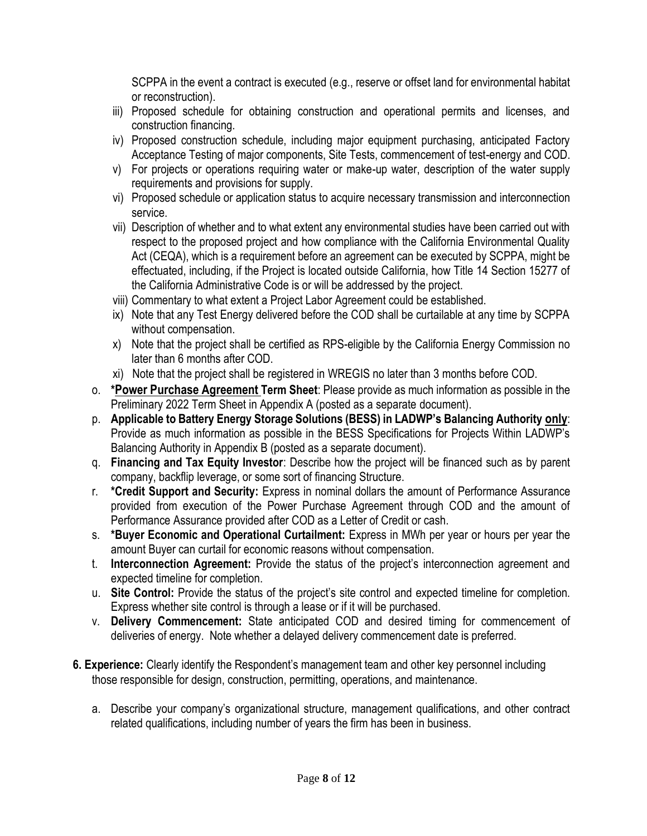SCPPA in the event a contract is executed (e.g., reserve or offset land for environmental habitat or reconstruction).

- iii) Proposed schedule for obtaining construction and operational permits and licenses, and construction financing.
- iv) Proposed construction schedule, including major equipment purchasing, anticipated Factory Acceptance Testing of major components, Site Tests, commencement of test-energy and COD.
- v) For projects or operations requiring water or make-up water, description of the water supply requirements and provisions for supply.
- vi) Proposed schedule or application status to acquire necessary transmission and interconnection service.
- vii) Description of whether and to what extent any environmental studies have been carried out with respect to the proposed project and how compliance with the California Environmental Quality Act (CEQA), which is a requirement before an agreement can be executed by SCPPA, might be effectuated, including, if the Project is located outside California, how Title 14 Section 15277 of the California Administrative Code is or will be addressed by the project.
- viii) Commentary to what extent a Project Labor Agreement could be established.
- ix) Note that any Test Energy delivered before the COD shall be curtailable at any time by SCPPA without compensation.
- x) Note that the project shall be certified as RPS-eligible by the California Energy Commission no later than 6 months after COD.
- xi) Note that the project shall be registered in WREGIS no later than 3 months before COD.
- o. **\*Power Purchase Agreement Term Sheet**: Please provide as much information as possible in the Preliminary 2022 Term Sheet in Appendix A (posted as a separate document).
- p. **Applicable to Battery Energy Storage Solutions (BESS) in LADWP's Balancing Authority only**: Provide as much information as possible in the BESS Specifications for Projects Within LADWP's Balancing Authority in Appendix B (posted as a separate document).
- q. **Financing and Tax Equity Investor**: Describe how the project will be financed such as by parent company, backflip leverage, or some sort of financing Structure.
- r. **\*Credit Support and Security:** Express in nominal dollars the amount of Performance Assurance provided from execution of the Power Purchase Agreement through COD and the amount of Performance Assurance provided after COD as a Letter of Credit or cash.
- s. **\*Buyer Economic and Operational Curtailment:** Express in MWh per year or hours per year the amount Buyer can curtail for economic reasons without compensation.
- t. **Interconnection Agreement:** Provide the status of the project's interconnection agreement and expected timeline for completion.
- u. **Site Control:** Provide the status of the project's site control and expected timeline for completion. Express whether site control is through a lease or if it will be purchased.
- v. **Delivery Commencement:** State anticipated COD and desired timing for commencement of deliveries of energy. Note whether a delayed delivery commencement date is preferred.
- **6. Experience:** Clearly identify the Respondent's management team and other key personnel including those responsible for design, construction, permitting, operations, and maintenance.
	- a. Describe your company's organizational structure, management qualifications, and other contract related qualifications, including number of years the firm has been in business.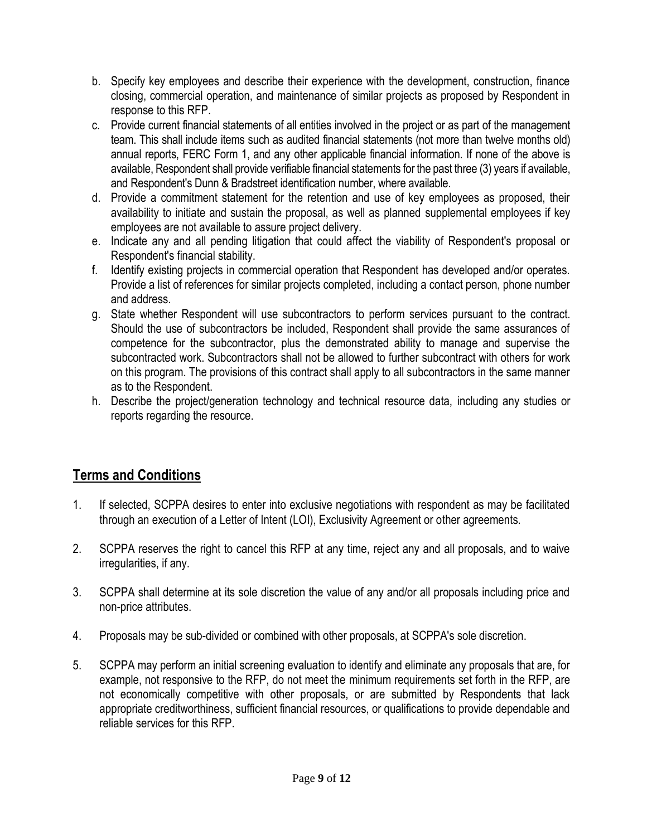- b. Specify key employees and describe their experience with the development, construction, finance closing, commercial operation, and maintenance of similar projects as proposed by Respondent in response to this RFP.
- c. Provide current financial statements of all entities involved in the project or as part of the management team. This shall include items such as audited financial statements (not more than twelve months old) annual reports, FERC Form 1, and any other applicable financial information. If none of the above is available, Respondent shall provide verifiable financial statements for the past three (3) years if available, and Respondent's Dunn & Bradstreet identification number, where available.
- d. Provide a commitment statement for the retention and use of key employees as proposed, their availability to initiate and sustain the proposal, as well as planned supplemental employees if key employees are not available to assure project delivery.
- e. Indicate any and all pending litigation that could affect the viability of Respondent's proposal or Respondent's financial stability.
- f. Identify existing projects in commercial operation that Respondent has developed and/or operates. Provide a list of references for similar projects completed, including a contact person, phone number and address.
- g. State whether Respondent will use subcontractors to perform services pursuant to the contract. Should the use of subcontractors be included, Respondent shall provide the same assurances of competence for the subcontractor, plus the demonstrated ability to manage and supervise the subcontracted work. Subcontractors shall not be allowed to further subcontract with others for work on this program. The provisions of this contract shall apply to all subcontractors in the same manner as to the Respondent.
- h. Describe the project/generation technology and technical resource data, including any studies or reports regarding the resource.

# **Terms and Conditions**

- 1. If selected, SCPPA desires to enter into exclusive negotiations with respondent as may be facilitated through an execution of a Letter of Intent (LOI), Exclusivity Agreement or other agreements.
- 2. SCPPA reserves the right to cancel this RFP at any time, reject any and all proposals, and to waive irregularities, if any.
- 3. SCPPA shall determine at its sole discretion the value of any and/or all proposals including price and non-price attributes.
- 4. Proposals may be sub-divided or combined with other proposals, at SCPPA's sole discretion.
- 5. SCPPA may perform an initial screening evaluation to identify and eliminate any proposals that are, for example, not responsive to the RFP, do not meet the minimum requirements set forth in the RFP, are not economically competitive with other proposals, or are submitted by Respondents that lack appropriate creditworthiness, sufficient financial resources, or qualifications to provide dependable and reliable services for this RFP.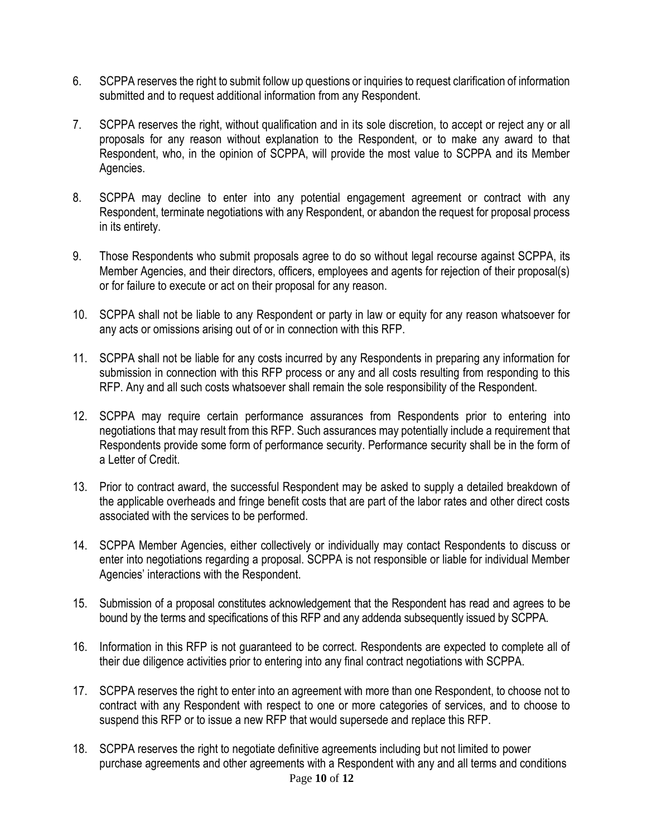- 6. SCPPA reserves the right to submit follow up questions or inquiries to request clarification of information submitted and to request additional information from any Respondent.
- 7. SCPPA reserves the right, without qualification and in its sole discretion, to accept or reject any or all proposals for any reason without explanation to the Respondent, or to make any award to that Respondent, who, in the opinion of SCPPA, will provide the most value to SCPPA and its Member Agencies.
- 8. SCPPA may decline to enter into any potential engagement agreement or contract with any Respondent, terminate negotiations with any Respondent, or abandon the request for proposal process in its entirety.
- 9. Those Respondents who submit proposals agree to do so without legal recourse against SCPPA, its Member Agencies, and their directors, officers, employees and agents for rejection of their proposal(s) or for failure to execute or act on their proposal for any reason.
- 10. SCPPA shall not be liable to any Respondent or party in law or equity for any reason whatsoever for any acts or omissions arising out of or in connection with this RFP.
- 11. SCPPA shall not be liable for any costs incurred by any Respondents in preparing any information for submission in connection with this RFP process or any and all costs resulting from responding to this RFP. Any and all such costs whatsoever shall remain the sole responsibility of the Respondent.
- 12. SCPPA may require certain performance assurances from Respondents prior to entering into negotiations that may result from this RFP. Such assurances may potentially include a requirement that Respondents provide some form of performance security. Performance security shall be in the form of a Letter of Credit.
- 13. Prior to contract award, the successful Respondent may be asked to supply a detailed breakdown of the applicable overheads and fringe benefit costs that are part of the labor rates and other direct costs associated with the services to be performed.
- 14. SCPPA Member Agencies, either collectively or individually may contact Respondents to discuss or enter into negotiations regarding a proposal. SCPPA is not responsible or liable for individual Member Agencies' interactions with the Respondent.
- 15. Submission of a proposal constitutes acknowledgement that the Respondent has read and agrees to be bound by the terms and specifications of this RFP and any addenda subsequently issued by SCPPA.
- 16. Information in this RFP is not guaranteed to be correct. Respondents are expected to complete all of their due diligence activities prior to entering into any final contract negotiations with SCPPA.
- 17. SCPPA reserves the right to enter into an agreement with more than one Respondent, to choose not to contract with any Respondent with respect to one or more categories of services, and to choose to suspend this RFP or to issue a new RFP that would supersede and replace this RFP.
- Page **10** of **12** 18. SCPPA reserves the right to negotiate definitive agreements including but not limited to power purchase agreements and other agreements with a Respondent with any and all terms and conditions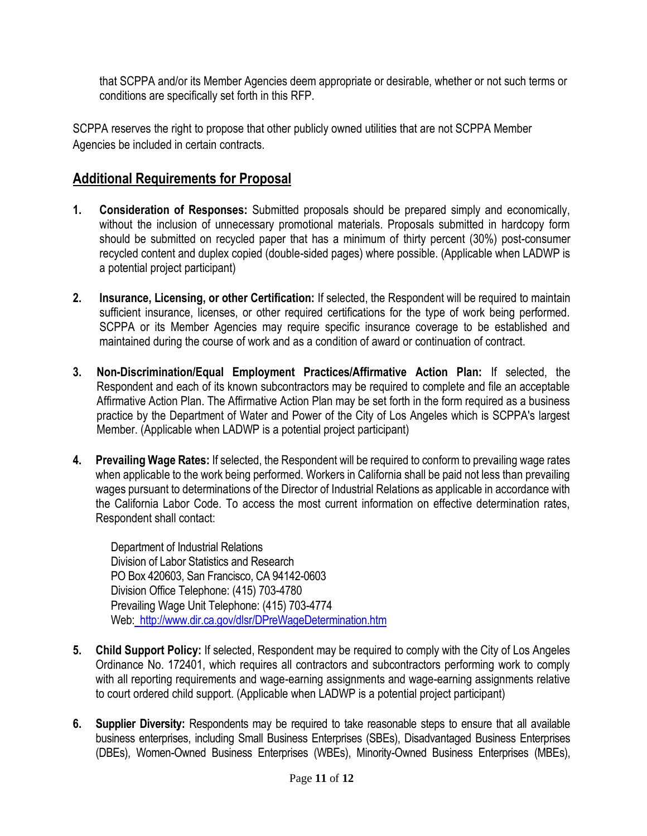that SCPPA and/or its Member Agencies deem appropriate or desirable, whether or not such terms or conditions are specifically set forth in this RFP.

SCPPA reserves the right to propose that other publicly owned utilities that are not SCPPA Member Agencies be included in certain contracts.

# **Additional Requirements for Proposal**

- **1. Consideration of Responses:** Submitted proposals should be prepared simply and economically, without the inclusion of unnecessary promotional materials. Proposals submitted in hardcopy form should be submitted on recycled paper that has a minimum of thirty percent (30%) post-consumer recycled content and duplex copied (double-sided pages) where possible. (Applicable when LADWP is a potential project participant)
- **2. Insurance, Licensing, or other Certification:** If selected, the Respondent will be required to maintain sufficient insurance, licenses, or other required certifications for the type of work being performed. SCPPA or its Member Agencies may require specific insurance coverage to be established and maintained during the course of work and as a condition of award or continuation of contract.
- **3. Non-Discrimination/Equal Employment Practices/Affirmative Action Plan:** If selected, the Respondent and each of its known subcontractors may be required to complete and file an acceptable Affirmative Action Plan. The Affirmative Action Plan may be set forth in the form required as a business practice by the Department of Water and Power of the City of Los Angeles which is SCPPA's largest Member. (Applicable when LADWP is a potential project participant)
- **4. Prevailing Wage Rates:** If selected, the Respondent will be required to conform to prevailing wage rates when applicable to the work being performed. Workers in California shall be paid not less than prevailing wages pursuant to determinations of the Director of Industrial Relations as applicable in accordance with the California Labor Code. To access the most current information on effective determination rates, Respondent shall contact:

Department of Industrial Relations Division of Labor Statistics and Research PO Box 420603, San Francisco, CA 94142-0603 Division Office Telephone: (415) 703-4780 Prevailing Wage Unit Telephone: (415) 703-4774 Web: http://www.dir.ca.gov/dlsr/DPreWageDetermination.htm

- **5. Child Support Policy:** If selected, Respondent may be required to comply with the City of Los Angeles Ordinance No. 172401, which requires all contractors and subcontractors performing work to comply with all reporting requirements and wage-earning assignments and wage-earning assignments relative to court ordered child support. (Applicable when LADWP is a potential project participant)
- **6. Supplier Diversity:** Respondents may be required to take reasonable steps to ensure that all available business enterprises, including Small Business Enterprises (SBEs), Disadvantaged Business Enterprises (DBEs), Women-Owned Business Enterprises (WBEs), Minority-Owned Business Enterprises (MBEs),